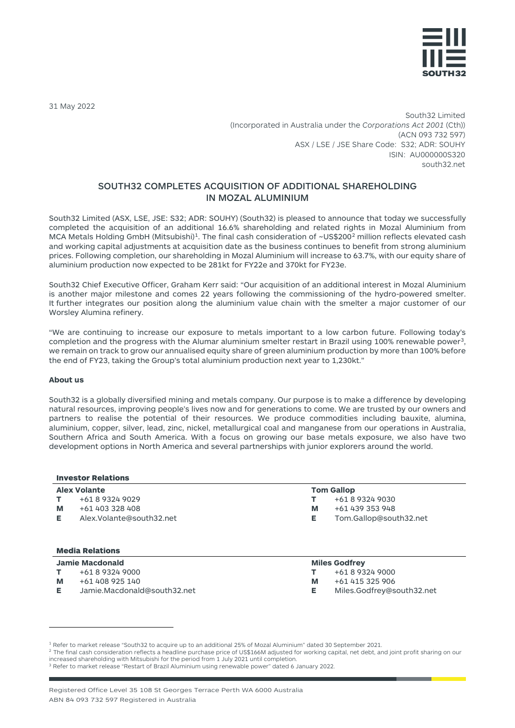

31 May 2022

South32 Limited (Incorporated in Australia under the *Corporations Act 2001* (Cth)) (ACN 093 732 597) ASX / LSE / JSE Share Code: S32; ADR: SOUHY ISIN: AU000000S320 south32.net

# SOUTH32 COMPLETES ACQUISITION OF ADDITIONAL SHAREHOLDING IN MOZAL ALUMINIUM

South32 Limited (ASX, LSE, JSE: S32; ADR: SOUHY) (South32) is pleased to announce that today we successfully completed the acquisition of an additional 16.6% shareholding and related rights in Mozal Aluminium from MCA Metals Holding GmbH (Mitsubishi)<sup>1</sup>. The final cash consideration of ~US\$[2](#page-0-1)00<sup>2</sup> million reflects elevated cash and working capital adjustments at acquisition date as the business continues to benefit from strong aluminium prices. Following completion, our shareholding in Mozal Aluminium will increase to 63.7%, with our equity share of aluminium production now expected to be 281kt for FY22e and 370kt for FY23e.

South32 Chief Executive Officer, Graham Kerr said: "Our acquisition of an additional interest in Mozal Aluminium is another major milestone and comes 22 years following the commissioning of the hydro-powered smelter. It further integrates our position along the aluminium value chain with the smelter a major customer of our Worsley Alumina refinery.

"We are continuing to increase our exposure to metals important to a low carbon future. Following today's completion and the progress with the Alumar aluminium smelter restart in Brazil using 100% renewable power<sup>[3](#page-0-2)</sup>, we remain on track to grow our annualised equity share of green aluminium production by more than 100% before the end of FY23, taking the Group's total aluminium production next year to 1,230kt."

### **About us**

South32 is a globally diversified mining and metals company. Our purpose is to make a difference by developing natural resources, improving people's lives now and for generations to come. We are trusted by our owners and partners to realise the potential of their resources. We produce commodities including bauxite, alumina, aluminium, copper, silver, lead, zinc, nickel, metallurgical coal and manganese from our operations in Australia, Southern Africa and South America. With a focus on growing our base metals exposure, we also have two development options in North America and several partnerships with junior explorers around the world.

#### Investor Relations

# **Alex Volante**

- **T** +61 8 9324 9029
- **M** +61 403 328 408
- **E** Alex.Volante@south32.net

## Media Relations

- **Jamie Macdonald**
- **T** +61 8 9324 9000
- **M** +61 408 925 140
- **E** Jamie.Macdonald@south32.net

# **Tom Gallop**

- **T** +61 8 9324 9030
- **M** +61 439 353 948
- **E** Tom.Gallop@south32.net

#### **Miles Godfrey**

- **T** +61 8 9324 9000
- **M** +61 415 325 906
- **E** Miles.Godfrey@south32.net

<span id="page-0-1"></span><sup>2</sup> The final cash consideration reflects a headline purchase price of US\$166M adjusted for working capital, net debt, and joint profit sharing on our increased shareholding with Mitsubishi for the period from 1 July 2021 until completion.

<span id="page-0-0"></span><sup>1</sup> Refer to market release "South32 to acquire up to an additional 25% of Mozal Aluminium" dated 30 September 2021.

<span id="page-0-2"></span><sup>3</sup> Refer to market release "Restart of Brazil Aluminium using renewable power" dated 6 January 2022.